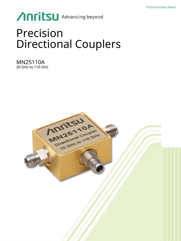# Anritsu Advancing beyond

## Precision Directional Couplers

MN25110A 20 GHz to 110 GHz

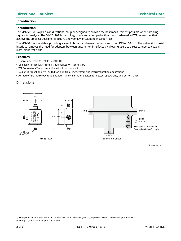#### **Introduction**

#### **Introduction**

The MN25110A is a precision directional coupler designed to provide the best measurement possible when sampling signals for analysis. The MN25110A is metrology grade and equipped with Anritsu trademarked W1 connectors that achieve the smallest possible reflections and very low broadband insertion loss.

The MN25110A is scalable, providing access to broadband measurements from near DC to 110 GHz. The native W1 coaxial interface removes the need for adapters between uncommon interfaces by allowing users to direct connect to coaxial instrument test ports.

#### **Features**

- **•** Operational from 110 MHz to 110 GHz
- **•** Coaxial interface with Anritsu trademarked W1 connectors
- **•** W1 Connectors™ are compatible with 1 mm connectors.
- **•** Design is robust and well suited for high frequency system and instrumentation applications
- **•** Anritsu offers metrology grade adapters and calibration devices for better repeatability and performance

#### **Dimensions**



All dimensions in mm

Typical specifications are not tested and are not warranted. They are generally representative of characteristic performance. Warranty: 1 year; Calibration period: 6 months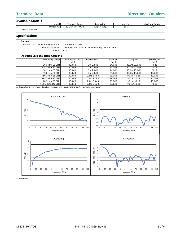## **Technical Data Directional Couplers**

#### **Available Models**

|                         | Model    | -reauencv<br>' Range      | Connectors         | Impedance   | Max Input Power |
|-------------------------|----------|---------------------------|--------------------|-------------|-----------------|
|                         | MN25110A | 20 GH:<br>110 GHz<br>GHz° | $W1(f)$ to $W1(f)$ | 50 $\Omega$ | 1.0 W           |
| Operational to 110 MHz. |          |                           |                    |             |                 |

#### **Specifications**

#### **General**

Insertion Loss Temperature Coefficient 0.001 dB/dB/°C max Weight 10 g

Temperature Range Operating: 0 °C to +70 °C; Non-operating: –55 °C to +125 °C

| <b>Insertion Loss, Isolation, Coupling</b> |                            |                 |                    |                 |                                   |  |  |  |  |
|--------------------------------------------|----------------------------|-----------------|--------------------|-----------------|-----------------------------------|--|--|--|--|
| Frequency Range                            | Input Return Loss<br>(min) | Insertion Loss  | Isolation<br>(min) | Coupling        | Directivity <sup>a</sup><br>(min) |  |  |  |  |
| 20 GHz to 25 GHz                           | 15.0 dB                    | $0$ to 2.3 dB   | 24.0 dB            | 15.0 to 25.0 dB | 7.0 dB                            |  |  |  |  |
| $>$ 25 GHz to 30 GHz                       | 10.0 dB                    | 0 to 2.3 dB     | 24.0 dB            | 10.0 to 20.0 dB | 7.0 <sub>dB</sub>                 |  |  |  |  |
| $>$ 30 GHz to 35 GHz $\vert$               | 10.0 dB                    | $0$ to 2.3 dB   | 24.0 dB            | 10.0 to 20.0 dB | 7.0 dB                            |  |  |  |  |
| $>$ 35 GHz to 50 GHz $ $                   | 10.0 dB                    | $0$ to 2.3 dB   | 24.0 dB            | 10.0 to 18.0 dB | 10.0 dB                           |  |  |  |  |
| $>$ 50 GHz to 65 GHz $\vert$               | 10.0 dB                    | $0.8$ to 3.7 dB | 23.0 dB            | 9.0 to 16.0 dB  | 10.0 dB                           |  |  |  |  |
| $>$ 65 GHz to 80 GHz                       | 10.0 dB                    | 0.8 to 3.7 dB   | 23.0 dB            | 9.0 to 13.0 dB  | $10.0 \text{ dB}$                 |  |  |  |  |
| $> 80$ GHz to 95 GHz                       | 10.0 dB                    | 2.0 to 5.5 dB   | 23.0 dB            | 9.0 to 13.0 dB  | 10.0 dB                           |  |  |  |  |
| > 95 GHz to 110 GHz                        | 10.0 dB                    | 2.0 to 5.5 dB   | 23.0 dB            | 9.0 to 13.0 dB  | 7.0 dB                            |  |  |  |  |

a. Directivity is a derived value (Isolation - Insertion Loss - Coupling) and is not a warranted specification.



All plots typical.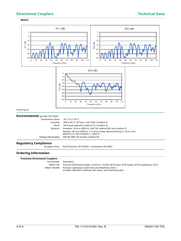## **Directional Couplers Technical Data**

#### **Match**



**Environmental** (per MIL-STD-202G) Temperature Shock –55 °C to +150 °C Humidity 95% at 40 °C, 96 hours, Test 103B, Condition B<br>Shock 100 G peak sawtooth, method 213, Condition B 100 G peak sawtooth, method 213, Condition B Vibration Sinewave: 10 Hz to 2000 Hz, 0.06" DA, method 204, test condition D Random: 50 Hz to 2000 Hz, 11.6 Grms, Power Spectral Density 0.1 Grms 2 Hz, Method 214, Test Condition 1, Letter D Voltage withstanding 500 VAC RMS, 60 seconds, method 301

#### **Regulatory Compliance**

European Union RoHS Directive: 2011/65/EU + Amendment 2015/863

#### **Ordering Information**

#### **Precision Directional Couplers**

Part Number Description

MN25110A Precision Directional Coupler, 20 GHz to 110 GHz, W1(f) input, W1(f) output, W1(f) coupled port, 50 Ω MN25110A-099 Premium Calibration to ISO17025 and ANSI/NCSL Z540-1. Includes calibration certificate, test report, and uncertainty data.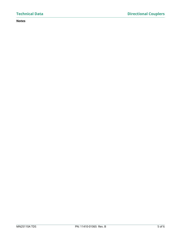### **Notes**